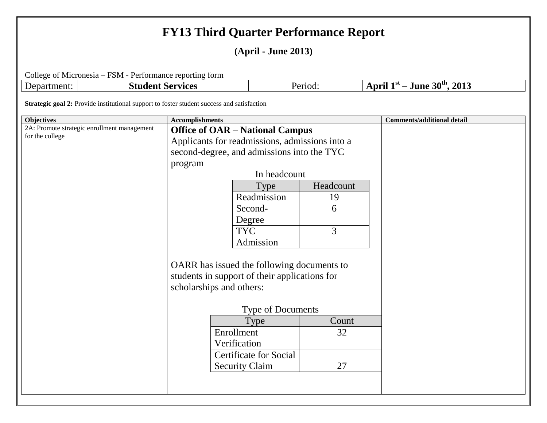## **FY13 Third Quarter Performance Report**

**(April - June 2013)**

College of Micronesia – FSM - Performance reporting form

| Department:                                                                                | $\frac{1}{2}$ concept on meromesia $\frac{1}{2}$ is the $\frac{1}{2}$ community reporting form<br><b>Student Services</b> |                                               | Period:                                        | April $1^{st}$ – June 30 <sup>th</sup> , 2013 |
|--------------------------------------------------------------------------------------------|---------------------------------------------------------------------------------------------------------------------------|-----------------------------------------------|------------------------------------------------|-----------------------------------------------|
| Strategic goal 2: Provide institutional support to foster student success and satisfaction |                                                                                                                           |                                               |                                                |                                               |
|                                                                                            |                                                                                                                           |                                               |                                                |                                               |
| <b>Objectives</b><br>2A: Promote strategic enrollment management                           | <b>Accomplishments</b>                                                                                                    |                                               |                                                | <b>Comments/additional detail</b>             |
| for the college                                                                            |                                                                                                                           | <b>Office of OAR - National Campus</b>        |                                                |                                               |
|                                                                                            |                                                                                                                           |                                               | Applicants for readmissions, admissions into a |                                               |
|                                                                                            |                                                                                                                           | second-degree, and admissions into the TYC    |                                                |                                               |
|                                                                                            | program                                                                                                                   |                                               |                                                |                                               |
|                                                                                            |                                                                                                                           |                                               | In headcount                                   |                                               |
|                                                                                            |                                                                                                                           | <b>Type</b>                                   | Headcount                                      |                                               |
|                                                                                            |                                                                                                                           | Readmission                                   | 19                                             |                                               |
|                                                                                            |                                                                                                                           | Second-                                       | 6                                              |                                               |
|                                                                                            |                                                                                                                           | Degree                                        |                                                |                                               |
|                                                                                            |                                                                                                                           | <b>TYC</b>                                    | 3                                              |                                               |
|                                                                                            |                                                                                                                           | Admission                                     |                                                |                                               |
|                                                                                            |                                                                                                                           |                                               |                                                |                                               |
|                                                                                            |                                                                                                                           |                                               | OARR has issued the following documents to     |                                               |
|                                                                                            |                                                                                                                           | students in support of their applications for |                                                |                                               |
|                                                                                            |                                                                                                                           | scholarships and others:                      |                                                |                                               |
|                                                                                            |                                                                                                                           |                                               | Type of Documents                              |                                               |
|                                                                                            |                                                                                                                           | Type                                          | Count                                          |                                               |
|                                                                                            |                                                                                                                           | Enrollment                                    | 32                                             |                                               |
|                                                                                            |                                                                                                                           | Verification                                  |                                                |                                               |
|                                                                                            |                                                                                                                           | <b>Certificate for Social</b>                 |                                                |                                               |
|                                                                                            |                                                                                                                           | <b>Security Claim</b>                         | 27                                             |                                               |
|                                                                                            |                                                                                                                           |                                               |                                                |                                               |
|                                                                                            |                                                                                                                           |                                               |                                                |                                               |
|                                                                                            |                                                                                                                           |                                               |                                                |                                               |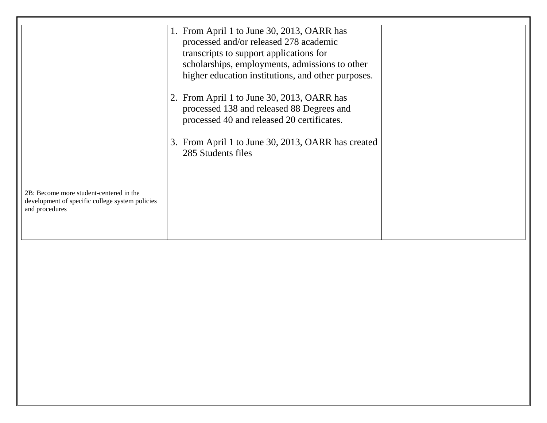|                                                                                                              | 1. From April 1 to June 30, 2013, OARR has<br>processed and/or released 278 academic<br>transcripts to support applications for       |  |
|--------------------------------------------------------------------------------------------------------------|---------------------------------------------------------------------------------------------------------------------------------------|--|
|                                                                                                              | scholarships, employments, admissions to other<br>higher education institutions, and other purposes.                                  |  |
|                                                                                                              | 2. From April 1 to June 30, 2013, OARR has<br>processed 138 and released 88 Degrees and<br>processed 40 and released 20 certificates. |  |
|                                                                                                              | 3. From April 1 to June 30, 2013, OARR has created<br>285 Students files                                                              |  |
| 2B: Become more student-centered in the<br>development of specific college system policies<br>and procedures |                                                                                                                                       |  |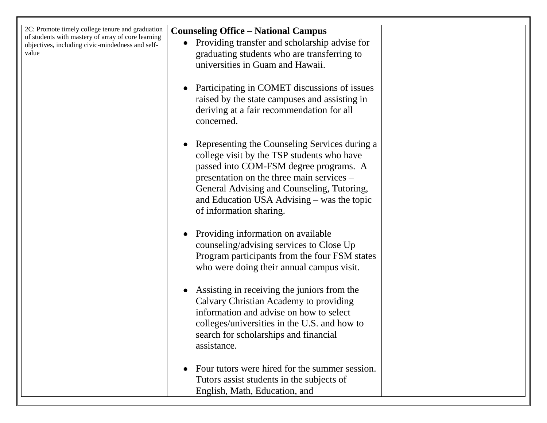| 2C: Promote timely college tenure and graduation<br>of students with mastery of array of core learning<br>objectives, including civic-mindedness and self-<br>value | <b>Counseling Office – National Campus</b><br>Providing transfer and scholarship advise for<br>$\bullet$<br>graduating students who are transferring to<br>universities in Guam and Hawaii.                                                                                                               |  |
|---------------------------------------------------------------------------------------------------------------------------------------------------------------------|-----------------------------------------------------------------------------------------------------------------------------------------------------------------------------------------------------------------------------------------------------------------------------------------------------------|--|
|                                                                                                                                                                     | Participating in COMET discussions of issues<br>raised by the state campuses and assisting in<br>deriving at a fair recommendation for all<br>concerned.                                                                                                                                                  |  |
|                                                                                                                                                                     | Representing the Counseling Services during a<br>college visit by the TSP students who have<br>passed into COM-FSM degree programs. A<br>presentation on the three main services –<br>General Advising and Counseling, Tutoring,<br>and Education USA Advising – was the topic<br>of information sharing. |  |
|                                                                                                                                                                     | Providing information on available<br>$\bullet$<br>counseling/advising services to Close Up<br>Program participants from the four FSM states<br>who were doing their annual campus visit.                                                                                                                 |  |
|                                                                                                                                                                     | Assisting in receiving the juniors from the<br>Calvary Christian Academy to providing<br>information and advise on how to select<br>colleges/universities in the U.S. and how to<br>search for scholarships and financial<br>assistance.                                                                  |  |
|                                                                                                                                                                     | Four tutors were hired for the summer session.<br>$\bullet$<br>Tutors assist students in the subjects of<br>English, Math, Education, and                                                                                                                                                                 |  |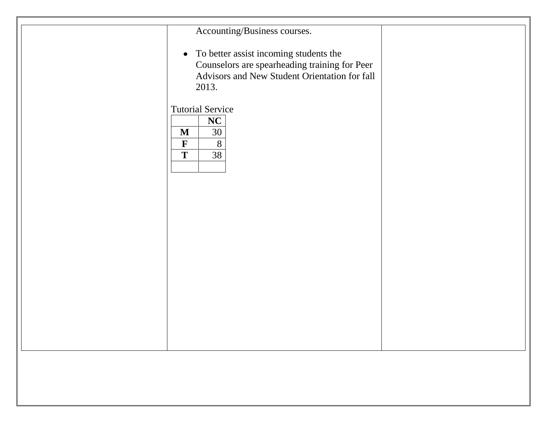|--|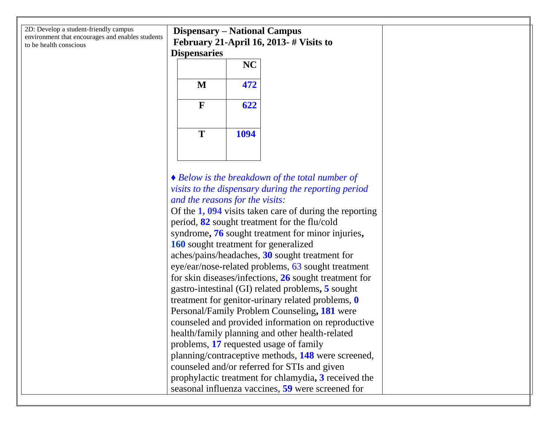2D: Develop a student-friendly campus environment that encourages and enables students to be health conscious

## **Dispensary – National Campus February 21-April 16, 2013- # Visits to Dispensaries**



*♦ Below is the breakdown of the total number of visits to the dispensary during the reporting period and the reasons for the visits:* 

Of the **1, 094** visits taken care of during the reporting period, **82** sought treatment for the flu/cold syndrome**, 76** sought treatment for minor injuries**, 160** sought treatment for generalized aches/pains/headaches, **30** sought treatment for eye/ear/nose-related problems, 63 sought treatment for skin diseases/infections, **26** sought treatment for gastro-intestinal (GI) related problems**, 5** sought treatment for genitor-urinary related problems, **0** Personal/Family Problem Counseling**, 181** were counseled and provided information on reproductive health/family planning and other health-related problems, **17** requested usage of family planning/contraceptive methods, **148** were screened, counseled and/or referred for STIs and given prophylactic treatment for chlamydia**, 3** received the seasonal influenza vaccines, **59** were screened for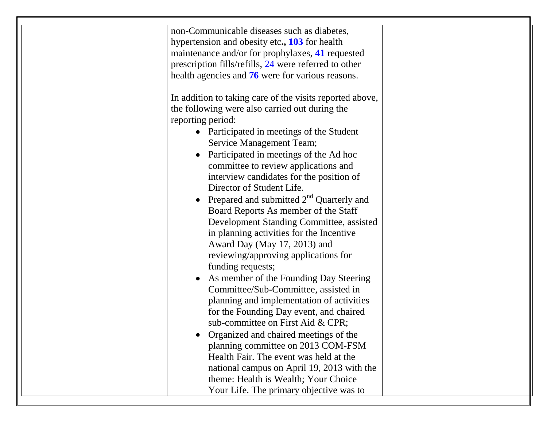| non-Communicable diseases such as diabetes,              |
|----------------------------------------------------------|
| hypertension and obesity etc., 103 for health            |
| maintenance and/or for prophylaxes, 41 requested         |
| prescription fills/refills, 24 were referred to other    |
| health agencies and 76 were for various reasons.         |
|                                                          |
| In addition to taking care of the visits reported above, |
| the following were also carried out during the           |
| reporting period:                                        |
| • Participated in meetings of the Student                |
| <b>Service Management Team;</b>                          |
| Participated in meetings of the Ad hoc                   |
| committee to review applications and                     |
| interview candidates for the position of                 |
| Director of Student Life.                                |
| • Prepared and submitted $2nd$ Quarterly and             |
| Board Reports As member of the Staff                     |
| Development Standing Committee, assisted                 |
| in planning activities for the Incentive                 |
| Award Day (May 17, 2013) and                             |
| reviewing/approving applications for                     |
| funding requests;                                        |
| As member of the Founding Day Steering                   |
| Committee/Sub-Committee, assisted in                     |
| planning and implementation of activities                |
| for the Founding Day event, and chaired                  |
| sub-committee on First Aid & CPR;                        |
| Organized and chaired meetings of the                    |
| planning committee on 2013 COM-FSM                       |
| Health Fair. The event was held at the                   |
| national campus on April 19, 2013 with the               |
| theme: Health is Wealth; Your Choice                     |
| Your Life. The primary objective was to                  |
|                                                          |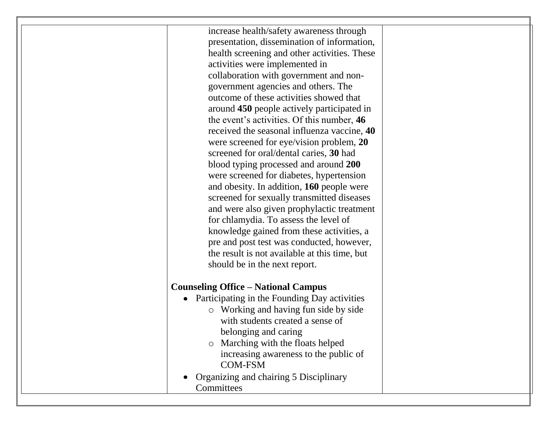| increase health/safety awareness through<br>presentation, dissemination of information,<br>health screening and other activities. These<br>activities were implemented in<br>collaboration with government and non-<br>government agencies and others. The<br>outcome of these activities showed that<br>around 450 people actively participated in<br>the event's activities. Of this number, 46<br>received the seasonal influenza vaccine, 40<br>were screened for eye/vision problem, 20<br>screened for oral/dental caries, 30 had<br>blood typing processed and around 200<br>were screened for diabetes, hypertension<br>and obesity. In addition, 160 people were |  |
|---------------------------------------------------------------------------------------------------------------------------------------------------------------------------------------------------------------------------------------------------------------------------------------------------------------------------------------------------------------------------------------------------------------------------------------------------------------------------------------------------------------------------------------------------------------------------------------------------------------------------------------------------------------------------|--|
| screened for sexually transmitted diseases<br>and were also given prophylactic treatment<br>for chlamydia. To assess the level of<br>knowledge gained from these activities, a<br>pre and post test was conducted, however,                                                                                                                                                                                                                                                                                                                                                                                                                                               |  |
| the result is not available at this time, but<br>should be in the next report.<br><b>Counseling Office – National Campus</b><br>Participating in the Founding Day activities<br>$\bullet$                                                                                                                                                                                                                                                                                                                                                                                                                                                                                 |  |
| Working and having fun side by side<br>with students created a sense of<br>belonging and caring<br>Marching with the floats helped<br>increasing awareness to the public of<br><b>COM-FSM</b><br>Organizing and chairing 5 Disciplinary                                                                                                                                                                                                                                                                                                                                                                                                                                   |  |
| Committees                                                                                                                                                                                                                                                                                                                                                                                                                                                                                                                                                                                                                                                                |  |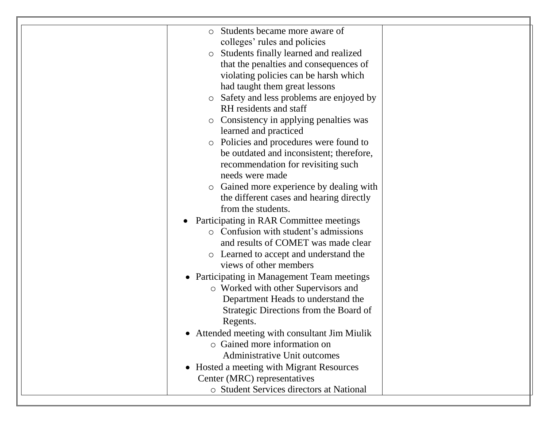| Students became more aware of<br>$\circ$<br>colleges' rules and policies<br>Students finally learned and realized<br>$\circ$<br>that the penalties and consequences of<br>violating policies can be harsh which<br>had taught them great lessons<br>Safety and less problems are enjoyed by<br>$\circ$<br>RH residents and staff<br>Consistency in applying penalties was<br>$\circ$<br>learned and practiced<br>Policies and procedures were found to<br>$\circ$ |  |
|-------------------------------------------------------------------------------------------------------------------------------------------------------------------------------------------------------------------------------------------------------------------------------------------------------------------------------------------------------------------------------------------------------------------------------------------------------------------|--|
|                                                                                                                                                                                                                                                                                                                                                                                                                                                                   |  |
| be outdated and inconsistent; therefore,                                                                                                                                                                                                                                                                                                                                                                                                                          |  |
| recommendation for revisiting such<br>needs were made                                                                                                                                                                                                                                                                                                                                                                                                             |  |
|                                                                                                                                                                                                                                                                                                                                                                                                                                                                   |  |
| Gained more experience by dealing with<br>$\circ$<br>the different cases and hearing directly                                                                                                                                                                                                                                                                                                                                                                     |  |
| from the students.                                                                                                                                                                                                                                                                                                                                                                                                                                                |  |
| Participating in RAR Committee meetings<br>$\bullet$                                                                                                                                                                                                                                                                                                                                                                                                              |  |
| o Confusion with student's admissions                                                                                                                                                                                                                                                                                                                                                                                                                             |  |
| and results of COMET was made clear                                                                                                                                                                                                                                                                                                                                                                                                                               |  |
| • Learned to accept and understand the                                                                                                                                                                                                                                                                                                                                                                                                                            |  |
| views of other members                                                                                                                                                                                                                                                                                                                                                                                                                                            |  |
| • Participating in Management Team meetings                                                                                                                                                                                                                                                                                                                                                                                                                       |  |
| o Worked with other Supervisors and                                                                                                                                                                                                                                                                                                                                                                                                                               |  |
| Department Heads to understand the                                                                                                                                                                                                                                                                                                                                                                                                                                |  |
| Strategic Directions from the Board of                                                                                                                                                                                                                                                                                                                                                                                                                            |  |
| Regents.                                                                                                                                                                                                                                                                                                                                                                                                                                                          |  |
| • Attended meeting with consultant Jim Miulik<br>○ Gained more information on                                                                                                                                                                                                                                                                                                                                                                                     |  |
| <b>Administrative Unit outcomes</b>                                                                                                                                                                                                                                                                                                                                                                                                                               |  |
| • Hosted a meeting with Migrant Resources                                                                                                                                                                                                                                                                                                                                                                                                                         |  |
| Center (MRC) representatives                                                                                                                                                                                                                                                                                                                                                                                                                                      |  |
| o Student Services directors at National                                                                                                                                                                                                                                                                                                                                                                                                                          |  |
|                                                                                                                                                                                                                                                                                                                                                                                                                                                                   |  |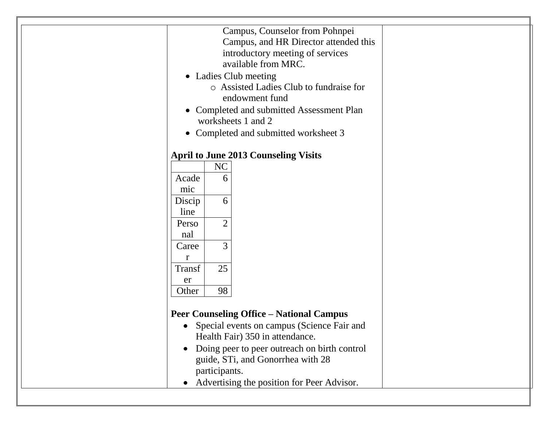| Campus, Counselor from Pohnpei<br>Campus, and HR Director attended this<br>introductory meeting of services<br>available from MRC.<br>• Ladies Club meeting<br>o Assisted Ladies Club to fundraise for<br>endowment fund<br>• Completed and submitted Assessment Plan<br>worksheets 1 and 2<br>• Completed and submitted worksheet 3<br><b>April to June 2013 Counseling Visits</b><br>NC<br>Acade<br>6<br>mic<br>6<br>Discip<br>line<br>$\overline{2}$<br>Perso<br>nal<br>3<br>Caree<br>r<br>25<br>Transf<br>er<br>98<br>Other<br><b>Peer Counseling Office - National Campus</b><br>• Special events on campus (Science Fair and<br>Health Fair) 350 in attendance.<br>Doing peer to peer outreach on birth control<br>guide, STi, and Gonorrhea with 28<br>participants.<br>Advertising the position for Peer Advisor. |  |  |
|---------------------------------------------------------------------------------------------------------------------------------------------------------------------------------------------------------------------------------------------------------------------------------------------------------------------------------------------------------------------------------------------------------------------------------------------------------------------------------------------------------------------------------------------------------------------------------------------------------------------------------------------------------------------------------------------------------------------------------------------------------------------------------------------------------------------------|--|--|
|                                                                                                                                                                                                                                                                                                                                                                                                                                                                                                                                                                                                                                                                                                                                                                                                                           |  |  |
|                                                                                                                                                                                                                                                                                                                                                                                                                                                                                                                                                                                                                                                                                                                                                                                                                           |  |  |
|                                                                                                                                                                                                                                                                                                                                                                                                                                                                                                                                                                                                                                                                                                                                                                                                                           |  |  |
|                                                                                                                                                                                                                                                                                                                                                                                                                                                                                                                                                                                                                                                                                                                                                                                                                           |  |  |
|                                                                                                                                                                                                                                                                                                                                                                                                                                                                                                                                                                                                                                                                                                                                                                                                                           |  |  |
|                                                                                                                                                                                                                                                                                                                                                                                                                                                                                                                                                                                                                                                                                                                                                                                                                           |  |  |
|                                                                                                                                                                                                                                                                                                                                                                                                                                                                                                                                                                                                                                                                                                                                                                                                                           |  |  |
|                                                                                                                                                                                                                                                                                                                                                                                                                                                                                                                                                                                                                                                                                                                                                                                                                           |  |  |
|                                                                                                                                                                                                                                                                                                                                                                                                                                                                                                                                                                                                                                                                                                                                                                                                                           |  |  |
|                                                                                                                                                                                                                                                                                                                                                                                                                                                                                                                                                                                                                                                                                                                                                                                                                           |  |  |
|                                                                                                                                                                                                                                                                                                                                                                                                                                                                                                                                                                                                                                                                                                                                                                                                                           |  |  |
|                                                                                                                                                                                                                                                                                                                                                                                                                                                                                                                                                                                                                                                                                                                                                                                                                           |  |  |
|                                                                                                                                                                                                                                                                                                                                                                                                                                                                                                                                                                                                                                                                                                                                                                                                                           |  |  |
|                                                                                                                                                                                                                                                                                                                                                                                                                                                                                                                                                                                                                                                                                                                                                                                                                           |  |  |
|                                                                                                                                                                                                                                                                                                                                                                                                                                                                                                                                                                                                                                                                                                                                                                                                                           |  |  |
|                                                                                                                                                                                                                                                                                                                                                                                                                                                                                                                                                                                                                                                                                                                                                                                                                           |  |  |
|                                                                                                                                                                                                                                                                                                                                                                                                                                                                                                                                                                                                                                                                                                                                                                                                                           |  |  |
|                                                                                                                                                                                                                                                                                                                                                                                                                                                                                                                                                                                                                                                                                                                                                                                                                           |  |  |
|                                                                                                                                                                                                                                                                                                                                                                                                                                                                                                                                                                                                                                                                                                                                                                                                                           |  |  |
|                                                                                                                                                                                                                                                                                                                                                                                                                                                                                                                                                                                                                                                                                                                                                                                                                           |  |  |
|                                                                                                                                                                                                                                                                                                                                                                                                                                                                                                                                                                                                                                                                                                                                                                                                                           |  |  |
|                                                                                                                                                                                                                                                                                                                                                                                                                                                                                                                                                                                                                                                                                                                                                                                                                           |  |  |
|                                                                                                                                                                                                                                                                                                                                                                                                                                                                                                                                                                                                                                                                                                                                                                                                                           |  |  |
|                                                                                                                                                                                                                                                                                                                                                                                                                                                                                                                                                                                                                                                                                                                                                                                                                           |  |  |
|                                                                                                                                                                                                                                                                                                                                                                                                                                                                                                                                                                                                                                                                                                                                                                                                                           |  |  |
|                                                                                                                                                                                                                                                                                                                                                                                                                                                                                                                                                                                                                                                                                                                                                                                                                           |  |  |
|                                                                                                                                                                                                                                                                                                                                                                                                                                                                                                                                                                                                                                                                                                                                                                                                                           |  |  |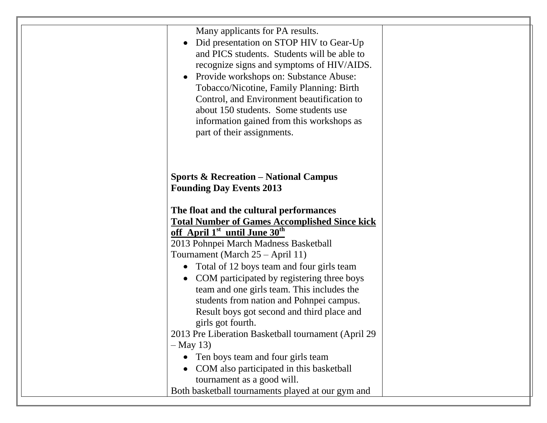| Many applicants for PA results.<br>Did presentation on STOP HIV to Gear-Up<br>and PICS students. Students will be able to<br>recognize signs and symptoms of HIV/AIDS.<br>Provide workshops on: Substance Abuse:<br>Tobacco/Nicotine, Family Planning: Birth<br>Control, and Environment beautification to<br>about 150 students. Some students use<br>information gained from this workshops as<br>part of their assignments. |  |
|--------------------------------------------------------------------------------------------------------------------------------------------------------------------------------------------------------------------------------------------------------------------------------------------------------------------------------------------------------------------------------------------------------------------------------|--|
| <b>Sports &amp; Recreation – National Campus</b><br><b>Founding Day Events 2013</b>                                                                                                                                                                                                                                                                                                                                            |  |
| The float and the cultural performances                                                                                                                                                                                                                                                                                                                                                                                        |  |
| <b>Total Number of Games Accomplished Since kick</b>                                                                                                                                                                                                                                                                                                                                                                           |  |
| off April 1 <sup>st</sup> until June 30 <sup>th</sup>                                                                                                                                                                                                                                                                                                                                                                          |  |
| 2013 Pohnpei March Madness Basketball                                                                                                                                                                                                                                                                                                                                                                                          |  |
| Tournament (March 25 - April 11)                                                                                                                                                                                                                                                                                                                                                                                               |  |
| Total of 12 boys team and four girls team                                                                                                                                                                                                                                                                                                                                                                                      |  |
| COM participated by registering three boys                                                                                                                                                                                                                                                                                                                                                                                     |  |
| team and one girls team. This includes the                                                                                                                                                                                                                                                                                                                                                                                     |  |
| students from nation and Pohnpei campus.                                                                                                                                                                                                                                                                                                                                                                                       |  |
| Result boys got second and third place and                                                                                                                                                                                                                                                                                                                                                                                     |  |
| girls got fourth.                                                                                                                                                                                                                                                                                                                                                                                                              |  |
| 2013 Pre Liberation Basketball tournament (April 29                                                                                                                                                                                                                                                                                                                                                                            |  |
| $-May 13$                                                                                                                                                                                                                                                                                                                                                                                                                      |  |
| Ten boys team and four girls team                                                                                                                                                                                                                                                                                                                                                                                              |  |
| COM also participated in this basketball                                                                                                                                                                                                                                                                                                                                                                                       |  |
| tournament as a good will.                                                                                                                                                                                                                                                                                                                                                                                                     |  |
| Both basketball tournaments played at our gym and                                                                                                                                                                                                                                                                                                                                                                              |  |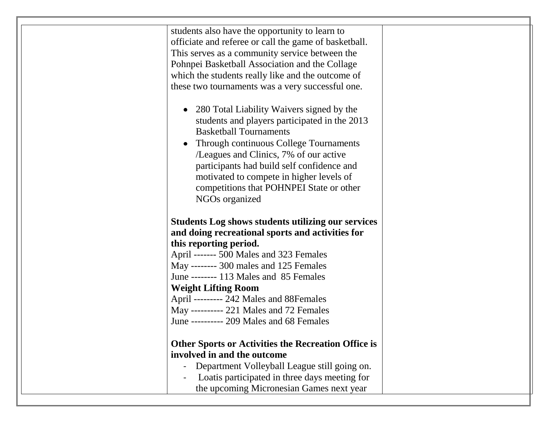| June ---------- 209 Males and 68 Females<br><b>Other Sports or Activities the Recreation Office is</b><br>involved in and the outcome<br>Department Volleyball League still going on.<br>Loatis participated in three days meeting for<br>the upcoming Micronesian Games next year                                                                    |  |
|-------------------------------------------------------------------------------------------------------------------------------------------------------------------------------------------------------------------------------------------------------------------------------------------------------------------------------------------------------|--|
| this reporting period.<br>April ------- 500 Males and 323 Females<br>May -------- 300 males and 125 Females<br>June -------- 113 Males and 85 Females<br><b>Weight Lifting Room</b><br>April --------- 242 Males and 88Females<br>May ---------- 221 Males and 72 Females                                                                             |  |
| NGOs organized<br><b>Students Log shows students utilizing our services</b><br>and doing recreational sports and activities for                                                                                                                                                                                                                       |  |
| 280 Total Liability Waivers signed by the<br>students and players participated in the 2013<br><b>Basketball Tournaments</b><br>Through continuous College Tournaments<br>/Leagues and Clinics, 7% of our active<br>participants had build self confidence and<br>motivated to compete in higher levels of<br>competitions that POHNPEI State or other |  |
| students also have the opportunity to learn to<br>officiate and referee or call the game of basketball.<br>This serves as a community service between the<br>Pohnpei Basketball Association and the Collage<br>which the students really like and the outcome of<br>these two tournaments was a very successful one.                                  |  |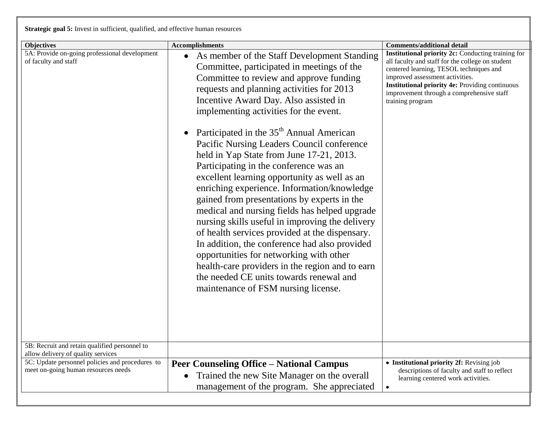| <b>Objectives</b>                                                                      | <b>Accomplishments</b>                                                                                                                                                                                                                                                                                                                                                                                                                                                                                                                                                                                                                                                                                                                                                                                                                                                                                                                                                                                             | <b>Comments/additional detail</b>                                                                                                                                                                                                                                                                               |
|----------------------------------------------------------------------------------------|--------------------------------------------------------------------------------------------------------------------------------------------------------------------------------------------------------------------------------------------------------------------------------------------------------------------------------------------------------------------------------------------------------------------------------------------------------------------------------------------------------------------------------------------------------------------------------------------------------------------------------------------------------------------------------------------------------------------------------------------------------------------------------------------------------------------------------------------------------------------------------------------------------------------------------------------------------------------------------------------------------------------|-----------------------------------------------------------------------------------------------------------------------------------------------------------------------------------------------------------------------------------------------------------------------------------------------------------------|
| 5A: Provide on-going professional development<br>of faculty and staff                  | As member of the Staff Development Standing<br>$\bullet$<br>Committee, participated in meetings of the<br>Committee to review and approve funding<br>requests and planning activities for 2013<br>Incentive Award Day. Also assisted in<br>implementing activities for the event.<br>Participated in the 35 <sup>th</sup> Annual American<br>Pacific Nursing Leaders Council conference<br>held in Yap State from June 17-21, 2013.<br>Participating in the conference was an<br>excellent learning opportunity as well as an<br>enriching experience. Information/knowledge<br>gained from presentations by experts in the<br>medical and nursing fields has helped upgrade<br>nursing skills useful in improving the delivery<br>of health services provided at the dispensary.<br>In addition, the conference had also provided<br>opportunities for networking with other<br>health-care providers in the region and to earn<br>the needed CE units towards renewal and<br>maintenance of FSM nursing license. | Institutional priority 2c: Conducting training for<br>all faculty and staff for the college on student<br>centered learning, TESOL techniques and<br>improved assessment activities.<br><b>Institutional priority 4e: Providing continuous</b><br>improvement through a comprehensive staff<br>training program |
| 5B: Recruit and retain qualified personnel to<br>allow delivery of quality services    |                                                                                                                                                                                                                                                                                                                                                                                                                                                                                                                                                                                                                                                                                                                                                                                                                                                                                                                                                                                                                    |                                                                                                                                                                                                                                                                                                                 |
| 5C: Update personnel policies and procedures to<br>meet on-going human resources needs | <b>Peer Counseling Office – National Campus</b><br>Trained the new Site Manager on the overall<br>$\bullet$<br>management of the program. She appreciated                                                                                                                                                                                                                                                                                                                                                                                                                                                                                                                                                                                                                                                                                                                                                                                                                                                          | • Institutional priority 2f: Revising job<br>descriptions of faculty and staff to reflect<br>learning centered work activities.<br>$\bullet$                                                                                                                                                                    |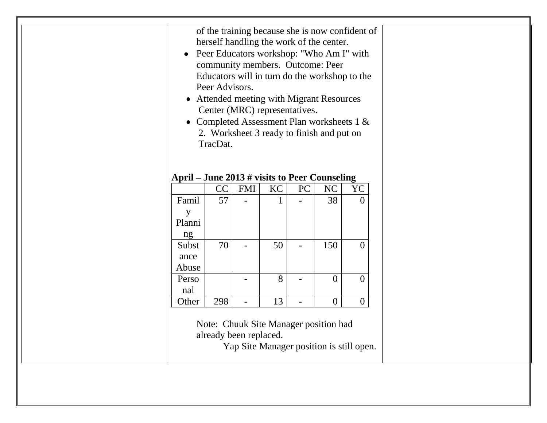| $\bullet$                                                                                                   | Peer Advisors.<br>TracDat. | herself handling the work of the center.<br>Peer Educators workshop: "Who Am I" with<br>community members. Outcome: Peer<br>Educators will in turn do the workshop to the<br>• Attended meeting with Migrant Resources<br>Center (MRC) representatives.<br>• Completed Assessment Plan worksheets 1 &<br>2. Worksheet 3 ready to finish and put on |              |                          |                  | of the training because she is now confident of |  |  |  |
|-------------------------------------------------------------------------------------------------------------|----------------------------|----------------------------------------------------------------------------------------------------------------------------------------------------------------------------------------------------------------------------------------------------------------------------------------------------------------------------------------------------|--------------|--------------------------|------------------|-------------------------------------------------|--|--|--|
| April – June 2013 # visits to Peer Counseling                                                               |                            |                                                                                                                                                                                                                                                                                                                                                    |              |                          |                  |                                                 |  |  |  |
|                                                                                                             |                            |                                                                                                                                                                                                                                                                                                                                                    |              |                          |                  |                                                 |  |  |  |
|                                                                                                             | CC                         | <b>FMI</b>                                                                                                                                                                                                                                                                                                                                         | <b>KC</b>    | PC                       | NC               | YC                                              |  |  |  |
| Famil                                                                                                       | 57                         |                                                                                                                                                                                                                                                                                                                                                    | $\mathbf{1}$ |                          | 38               | $\Omega$                                        |  |  |  |
| y                                                                                                           |                            |                                                                                                                                                                                                                                                                                                                                                    |              |                          |                  |                                                 |  |  |  |
| Planni                                                                                                      |                            |                                                                                                                                                                                                                                                                                                                                                    |              |                          |                  |                                                 |  |  |  |
| ng                                                                                                          |                            |                                                                                                                                                                                                                                                                                                                                                    |              |                          |                  |                                                 |  |  |  |
| Subst                                                                                                       | 70                         |                                                                                                                                                                                                                                                                                                                                                    | 50           |                          | 150              | $\overline{0}$                                  |  |  |  |
| ance                                                                                                        |                            |                                                                                                                                                                                                                                                                                                                                                    |              |                          |                  |                                                 |  |  |  |
| Abuse                                                                                                       |                            |                                                                                                                                                                                                                                                                                                                                                    |              |                          |                  |                                                 |  |  |  |
| Perso                                                                                                       |                            | $\overline{\phantom{a}}$                                                                                                                                                                                                                                                                                                                           | 8            | $\overline{\phantom{0}}$ | $\overline{0}$   | $\overline{0}$                                  |  |  |  |
| nal                                                                                                         |                            |                                                                                                                                                                                                                                                                                                                                                    |              |                          |                  |                                                 |  |  |  |
| Other                                                                                                       | 298                        | $\blacksquare$                                                                                                                                                                                                                                                                                                                                     | 13           |                          | $\boldsymbol{0}$ | $\overline{0}$                                  |  |  |  |
| Note: Chuuk Site Manager position had<br>already been replaced.<br>Yap Site Manager position is still open. |                            |                                                                                                                                                                                                                                                                                                                                                    |              |                          |                  |                                                 |  |  |  |